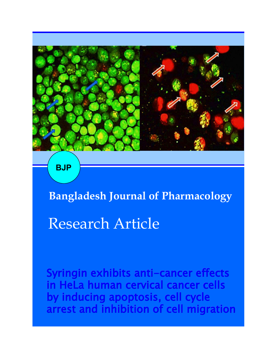

**BJP**

**Bangladesh Journal of Pharmacology** 

# Research Article

Syringin exhibits anti-cancer effects in HeLa human cervical cancer cells by inducing apoptosis, cell cycle arrest and inhibition of cell migration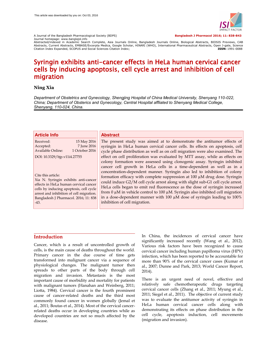

A Journal of the Bangladesh Pharmacological Society (BDPS) **Bangladesh J Pharmacol 2016; 11: 838-843**

Journal homepage: www.banglajol.info<br>Abstracted/indexed in Academic Search Complete, Asia Journals Online, Bangladesh Journals Online, Biological Abstracts, BIOSIS Previews, CAB Abstracts, Current Abstracts, EMBASE/Excerpta Medica, Google Scholar, HINARI (WHO), International Pharmaceutical Abstracts, Open J-gate, Science<br>Citation Index Expanded, SCOPUS and Social Sciences Citation Index;<br>Citation Citation Index Expanded, SCOPUS and Social Sciences Citation Index;

## Syringin exhibits anti-cancer effects in HeLa human cervical cancer cells by inducing apoptosis, cell cycle arrest and inhibition of cell migration

## **Ning Xia**

*Department of Obstetrics and Gynecology, Shengjing Hospital of China Medical University, Shenyang 110-022, China; Department of Obsterics and Gynecology, Central Hospital affliated to Shenyang Medical College, Shenyang, 110-024, China.*

| <b>Article Info</b>                                                                                                                                                                                                                                                           | <b>Abstract</b>                                                                                                                                                                                                                                                                                                                                                                                                                                                                                                                                                                                                                                                                                                                                                        |
|-------------------------------------------------------------------------------------------------------------------------------------------------------------------------------------------------------------------------------------------------------------------------------|------------------------------------------------------------------------------------------------------------------------------------------------------------------------------------------------------------------------------------------------------------------------------------------------------------------------------------------------------------------------------------------------------------------------------------------------------------------------------------------------------------------------------------------------------------------------------------------------------------------------------------------------------------------------------------------------------------------------------------------------------------------------|
| 15 May 2016<br>Received:<br>7 June 2016<br>Accepted:<br>1 October 2016<br><b>Available Online:</b>                                                                                                                                                                            | The present study was aimed at to demonstrate the antitumor effects of<br>syringin in HeLa human cervical cancer cells. Its effects on apoptosis, cell<br>cycle phase distribution as well as on cell migration were also examined. The                                                                                                                                                                                                                                                                                                                                                                                                                                                                                                                                |
| DOI: 10.3329/bjp.v11i4.27755<br>Cite this article:<br>Xia N. Syringin exhibits anti-cancer<br>effects in HeLa human cervical cancer<br>cells by inducing apoptosis, cell cycle<br>arrest and inhibition of cell migration.<br>Bangladesh J Pharmacol. 2016; 11: 838<br>$-43.$ | effect on cell proliferation was evaluated by MTT assay, while as effects on<br>colony formation were assessed using clonogenic assay. Syringin inhibited<br>cancer cell growth in HeLa cells in a time-dependent as well as in a<br>concentration-dependent manner. Syringin also led to inhibition of colony<br>formation efficacy with complete suppression at 100 µM drug dose. Syringin<br>could induce G2/M cell cycle arrest along with slight sub-G1 cell cycle arrest.<br>HeLa cells began to emit red fluorescence as the dose of syringin increased<br>from $0 \mu$ M in vehicle control to $100 \mu$ M. Syringin also inhibited cell migration<br>in a dose-dependent manner with 100 µM dose of syringin leading to 100%<br>inhibition of cell migration. |

## **Introduction**

Cancer, which is a result of uncontrolled growth of cells, is the main cause of deaths throughout the world. Primary cancer in the due course of time gets transformed into malignant cancer via a sequence of physiological changes. The malignant tumor then spreads to other parts of the body through cell migration and invasion. Metastasis is the most important cause of morbidity and mortality for patients with malignant tumors (Hanahan and Weinberg, 2011; Liotta, 1984). Cervical cancer is the fourth prominent cause of cancer-related deaths and the third most commonly found cancer in women globally (Jemal et al., 2011; Boutas et al., 2014). Most of the cervical cancerrelated deaths occur in developing countries while as developed countries are not so much affected by the disease.

In China, the incidences of cervical cancer have significantly increased recently (Wang et al., 2012). Various risk factors have been recognized to cause cervical cancer including human papilloma virus (HPV) infection, which has been reported to be accountable for more than 90% of the cervical cancer cases (Kumar et al., 2007; Dunne and Park, 2013; World Cancer Report, 2014).

There is an urgent need of novel, effective and relatively safe chemotherapeutic drugs targeting cervical cancer cells (Zhang et al., 2011; Myung et al., 2011; Siegel et al., 2011). The objective of current study was to evaluate the antitumor activity of syringin in HeLa human cervical cancer cells along with demonstrating its effects on phase distribution in the cell cycle, apoptosis induction, cell movements (migration and invasion).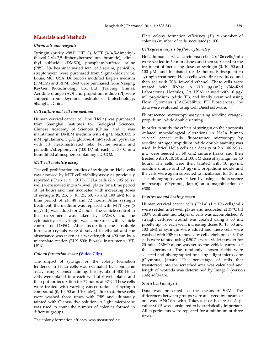## **Materials and Methods**

#### *Chemicals and reagents*

Syringin (purity ≥98%, HPLC), MTT (3-(4,5-dimethylthiazol-2-yl)-2,5-diphenyltetrazolium bromide), dimethyl sulfoxide (DMSO), phosphate-buffered saline (PBS), 5% heat-inactivated fetal calf serum, penicillin, streptomycin were purchased from Sigma-Aldrich; St. Louis, MO, USA. Dulbecco's modified Eagle's medium (DMEM) and RPMI 1640 were purchased from Nanjing KeyGen Biotechnology Co., Ltd. (Nanjing, China). Acridine orange (AO) and propidium iodide (PI) were shipped from Beyotime Institute of Biotechnology, Shanghai, China.

## *Cell culture and cell line medium*

Human cervical cancer cell line (HeLa) was purchased from Shanghai Institutes for Biological Sciences, Chinese Academy of Sciences (China) and it was maintained in DMEM medium with 4 g/L Na2CO3, 5 mM l-glutamine, 3 g/L glucose, 4 mM sodium pyruvate with 5% heat-inactivated fetal bovine serum and penicillin/streptomycin (100 U/mL each) at 37°C in a humidified atmosphere containing 5% CO2.

#### *MTT cell viability assay*

The cell proliferation studies of syringin on HeLa cells was assessed by MTT cell viability assay as previously reported (Chen et al., 2013). HeLa cells (2 x 105 cells/ well) were sowed into a 96-well plates for a time period of 24 hours and then incubated with increasing doses of syringin (0, 2.5, 5, 10, 25, 50, 75 and 100 µM) for a time period of 24, 48 and 72 hours. After syringin treatment, the medium was replaced with MTT dye (5 mg/mL) was added for 2 hours. The vehicle control in this experiment was taken by DMSO, and the cytotoxicity of syringin was compared with vehicle control of DMSO. After incubation the insoluble formazan crystals were dissolved in ethanol and the absorbance was taken at a wavelength of 490 nm by a microplate reader (ELX 800; Bio-tek Instruments, VT, USA).

### *Colony formation assay* **[\(Video Clip\)](https://youtube.com/v/fnWR51P-BKg)**

The impact of syringin on the colony formation tendency in HeLa cells was evaluated by clonogenic assay using Giemsa staining. Briefly, about 400 HeLa cells were plated into each well of 6-well plates and then put for incubation for 72 hours at 37°C. These cells were treated with varying concentrations of syringin compound (0, 10, 50 and 100  $\mu$ M), after that, these cells were washed three times with PBS and ultimately tainted with Giemsa dye solution. A light microscope was used to count the number of colonies formed in different groups.

The colony formation efficacy was measured as:

Plate colony formation efficiency  $(\%)$  = (number of colonies/number of cells inoculated) x 100

## *Cell cycle analysis by flow cytometry*

HeLa human cervical carcinoma cells (2 x 106 cells/mL) were seeded in 60 mm dishes and then subjected to the treatment of increasing doses of syringin (0, 10, 50 and 100 µM) and incubated for 48 hours. Subsequent to syringin treatment, HeLa cells were first produced and then set with 70% ice-cold ethanol. These cells were treated with RNase A (10 μg/mL) (Bio-Rad Laboratories, Hercules, CA, USA), tainted with 10 μg/ mL propidium iodide (PI), and finally examined using Flow Cytometer (FACSCalibur; BD Biosciences), the data were evaluated using Cell Quest software.

Fluorescence microscopy assay using acridine orange/ propidium iodide double staining

In order to study the effects of syringin on the apoptosis -related morphological alterations in HeLa human cervical cancer cells, fluorescence microscopy by acridine orange/propidium iodide double staining was used. In brief, HeLa cells at a density of 2 x 106 cells/ mL were seeded in 50 cm2 culture flasks and then treated with 0, 10, 50 and 100 µM dose of syringin for 48 hours. The cells were then tainted with 10 μg/mL acridine orange and 10 μg/mL propidium iodide and the cells were again subjected to incubation for 30 min. The photographs were taken by using a fluorescence microscope (Olympus, Japan) at a magnification of x300.

#### *In vitro wound healing assay*

Human cervical cancer cells (HeLa) (1 x 106 cells/mL) were seeded in 24-well plates and incubated at 37°C till 100% confluent monolayer of cells was accomplished. A straight cell-free wound was created using a 50 mL pipette tip. To each well, increasing doses (0, 10, 50 and 100 µM) of syringin were added and these cells were washed with PBS to remove any cell debris present. The cells were tainted using 0.50% crystal violet powder for 20 min. DMSO alone was set as the vehicle control of the experiment. The randomly chosen fields were selected and photographed by using a light microscope (Olympus, Japan). The percentage of cells that transferred into the scratched area was calculated and length of wounds was determined by Image J (version 1.46) software.

#### *Statistical analysis*

Data was presented as the means ± SEM. The differences between groups were analyzed by means of one-way ANOVA with Tukey's post hoc tests. A pvalue <0.05 was considered to be statistically important. All experiments were repeated for a minimum of three times.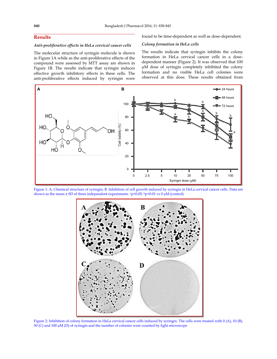## **Results**

## *Anti-proliferative effects in HeLa cervical cancer cells*

The molecular structure of syringin molecule is shown in Figure 1A while as the anti-proliferative effects of the compound were assessed by MTT assay are shown in Figure 1B. The results indicate that syringin induces effective growth inhibitory effects in these cells. The anti-proliferative effects induced by syringin were found to be time-dependent as well as dose-dependent.

## *Colony formation in HeLa cells*

The results indicate that syringin inhibits the colony formation in HeLa cervical cancer cells in a dosedependent manner (Figure 2). It was observed that 100 µM dose of syringin completely inhibited the colony formation and no visible HeLa cell colonies were observed at this dose. These results obtained from



Figure 1: A: Chemical structure of syringin, B: Inhibition of cell growth induced by syringin in HeLa cervical cancer cells. Data are shown as the mean  $\pm$  SD of three independent experiments. <sup>a</sup>p<0.05, <sup>b</sup>p<0.01 vs 0 µM (control)



Figure 2: Inhibition of colony formation in HeLa cervical cancer cells induced by syringin. The cells were treated with 0 (A), 10 (B), 50 (C) and 100 µM (D) of syringin and the number of colonies were counted by light microscope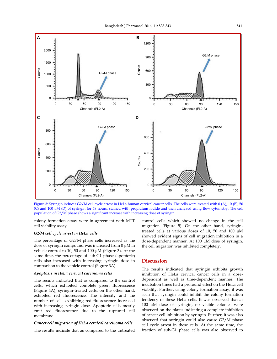

Figure 3: Syringin induces G2/M cell cycle arrest in HeLa human cervical cancer cells. The cells were treated with 0 (A), 10 (B), 50 (C) and 100 µM (D) of syringin for 48 hours, stained with propidium iodide and then analyzed using flow cytometry. The cell population of G2/M phase shows a significant increase with increasing dose of syringin

colony formation assay were in agreement with MTT cell viability assay.

#### *G2/M cell cycle arrest in HeLa cells*

The percentage of G2/M phase cells increased as the dose of syringin compound was increased from 0 µM in vehicle control to 10, 50 and 100 µM (Figure 3). At the same time, the percentage of sub-G1 phase (apoptotic) cells also increased with increasing syringin dose in comparison to the vehicle control (Figure 3A).

#### *Apoptosis in HeLa cervical carcinoma cells*

The results indicated that as compared to the control cells, which exhibited complete green fluorescence (Figure 4A), syringin-treated cells, on the other hand, exhibited red fluorescence. The intensity and the number of cells exhibiting red fluorescence increased with increasing syringin dose. Apoptotic cells mostly emit red fluorescence due to the ruptured cell membrane.

#### *Cancer cell migration of HeLa cervical carcinoma cells*

The results indicate that as compared to the untreated

control cells which showed no change in the cell migration (Figure 5). On the other hand, syringintreated cells at various doses of 10, 50 and 100 µM showed evident signs of cell migration inhibition in a dose-dependent manner. At 100 µM dose of syringin, the cell migration was inhibited completely.

## **Discussion**

The results indicated that syringin exhibits growth inhibition of HeLa cervical cancer cells in a dosedependent as well as time-dependent manner. The incubation times had a profound effect on the HeLa cell viability. Further, using colony formation assay, it was seen that syringin could inhibit the colony formation tendency of these HeLa cells. It was observed that at 100 µM dose of syringin, no visible colonies were observed on the plates indicating a complete inhibition of cancer cell inhibition by syringin. Further, it was also observed that syringin could also cause G2/M phase cell cycle arrest in these cells. At the same time, the fraction of sub-G1 phase cells was also observed to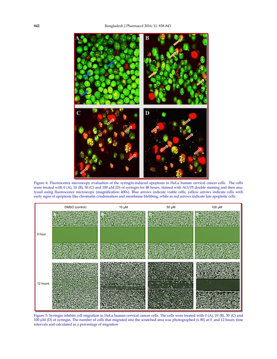

Figure 4: Fluorescence microscopy evaluation of the syringin-induced apoptosis in HeLa human cervical cancer cells. The cells were treated with 0 (A), 10 (B), 50 (C) and 100 μM (D) of syringin for 48 hours, stained with AO/PI double staining and then analyzed using fluorescence microscopy (magnification 400x). Blue arrows indicate viable cells, yellow arrows indicate cells with early signs of apoptosis like chromatin condensation and membrane blebbing, while as red arrows indicate late apoptotic cells



Figure 5: Syringin inhibits cell migration in HeLa human cervical cancer cells. The cells were treated with 0 (A), 10 (B), 50 (C) and 100 µM (D) of syringin. The number of cells that migrated into the scratched area was photographed (x 80) at 0 and 12 hours time intervals and calculated as a percentage of migration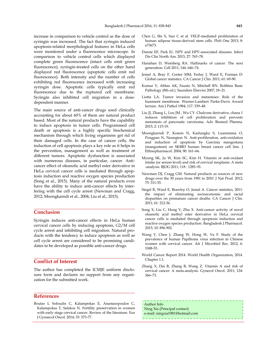increase in comparison to vehicle control as the dose of syringin was increased. The fact that syringin induced apoptosis-related morphological features in HeLa cells were monitored under a fluorescence microscope. In comparison to vehicle control cells which displayed complete green fluorescence (intact cells emit green fluorescence), syringin-treated cells on the other hand displayed red fluorescence (apoptotic cells emit red fluorescence). Both intensity and the number of cells exhibiting red fluorescence increased with increasing syringin dose. Apoptotic cells typically emit red fluorescence due to the ruptured cell membrane. Syringin also inhibited cell migration in a dosedependent manner.

The main source of anti-cancer drugs used clinically accounting for about 60% of them are natural product based. Most of the natural products have the capability to induce apoptosis in tumor cells. Programmed cell death or apoptosis is a highly specific biochemical mechanism through which living organisms get rid of their damaged cells. In the case of cancer cells, the induction of cell apoptosis plays a key role as it helps in the prevention, management as well as treatment of different tumors. Apoptotic dysfunction is associated with numerous diseases, in particular, cancer. Anticancer effect of oleanolic acid methyl ester derivative in HeLa cervical cancer cells is mediated through apoptosis induction and reactive oxygen species production (Song et al., 2015). Many of the natural products even have the ability to induce anti-cancer effects by interfering with the cell cycle arrest (Newman and Cragg, 2012; Moongkarndi et al., 2004; Liu et al., 2015).

## **Conclusion**

Syringin induces anti-cancer effects in HeLa human cervical cancer cells by inducing apoptosis, G2/M cell cycle arrest and inhibiting cell migration. Natural products with the tendency to induce apoptosis as well as cell cycle arrest are considered to be promising candidates to be developed as possible anti-cancer drugs.

## **Conflict of Interest**

The author has completed the ICMJE uniform disclosure form and declares no support from any organization for the submitted work.

## **References**

Boutas I, Sofoudis C, Kalampokas E, Anastasopoulos C, Kalampokas T, Salakos N. Fertility preservation in women with early stage cervical cancer. Review of the literature. Eur J Gynaecol Oncol. 2014; 35: 373-77.

- Chen G, Shi X, Sun C et al. VEGF-mediated proliferation of human adipose tissue-derived stem cells. PloS One 2013; 8: e73673.
- Dunne EF, Park IU. HPV and HPV-associated diseases. Infect Dis Clin North Am. 2013; 27: 765–78.
- Hanahan D, Weinberg RA. Hallmarks of cancer: The next generation. Cell 2011; 144: 646–74.
- Jemal A, Bray F, Center MM, Ferlay J, Ward E, Forman D: Global cancer statistics. CA Cancer J Clin. 2011; 61: 69-90.
- Kumar V, Abbas AK, Fausto N, Mitchell RN. Robbins Basic Pathology (8th ed.). Saunders Elsevier 2007; 18–21.
- Liotta LA. Tumor invasion and metastases: Role of the basement membrane. Warner-Lambert Parke-Davis Award lecture. Am J Pathol 1984; 117: 339–48.
- Liu JJ, Zhang L, Lou JM , Wu CY. Chalcone derivative, chana 1 induces inhibition of cell proliferation and prevents metastasis of pancreatic carcinoma. Adv Biomed Pharma. 2015; 2: 115-19.
- Moongkarndi P, Kosem N, Kaslungka S, Luanratana O, Pongpan N, Neungton N. Anti-proliferation, anti-oxidation and induction of apoptosis by Garcinia mangostana (mangosteen) on SKBR3 human breast cancer cell line. J Ethnopharmacol. 2004; 90: 161–66.
- Myung SK, Ju W, Kim SC, Kim H. Vitamin or anti-oxidant intake (or serum level) and risk of cervical neoplasm: A meta -analysis. BJOG 2011; 118 : 1285–91.
- Newman DJ, Cragg GM. Natural products as sources of new drugs over the 30 years from 1981 to 2010. J Nat Prod. 2012; 75: 311-35.
- Siegel R, Ward E, Brawley O, Jemal A. Cancer statistics, 2011: the impact of eliminating socioeconomic and racial disparities on premature cancer deaths. CA Cancer J Clin. 2011; 61: 212-36.
- Song X, Liu C, Hong Y, Zhu X. Anti-cancer activity of novel oleanolic acid methyl ester derivative in HeLa cervical cancer cells is mediated through apoptosis induction and reactive oxygen species production. Bangladesh J Pharmacol. 2015; 10: 896-902.
- Wang Y, Chen J, Zhang W, Hong W, Yu F. Study of the prevalence of human Papilloma virus infection in Chinese women with cervical cancer. Afr J Microbiol Res. 2012; 6: 1048-53.
- World Cancer Report 2014. World Health Organization, 2014. Chapter 1.1.
- Zhang X, Dai B, Zhang B, Wang Z. Vitamin A and risk of cervical cancer: A meta-analysis. Gynecol Oncol. 2011; 124: 366–73.

Author Info Ning Xia (Principal contact) e-mail: ningxia1981@hotmail.com